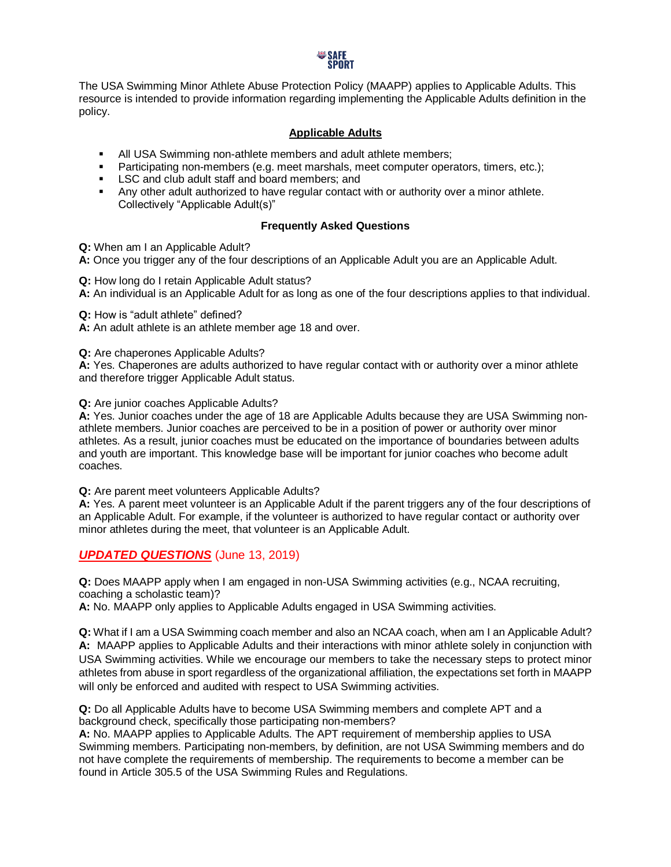

The USA Swimming Minor Athlete Abuse Protection Policy (MAAPP) applies to Applicable Adults. This resource is intended to provide information regarding implementing the Applicable Adults definition in the policy.

## **Applicable Adults**

- **EXEL All USA Swimming non-athlete members and adult athlete members;**
- **•** Participating non-members (e.g. meet marshals, meet computer operators, timers, etc.);
- LSC and club adult staff and board members; and
- Any other adult authorized to have regular contact with or authority over a minor athlete. Collectively "Applicable Adult(s)"

## **Frequently Asked Questions**

**Q:** When am I an Applicable Adult?

**A:** Once you trigger any of the four descriptions of an Applicable Adult you are an Applicable Adult.

**Q:** How long do I retain Applicable Adult status?

**A:** An individual is an Applicable Adult for as long as one of the four descriptions applies to that individual.

**Q:** How is "adult athlete" defined?

**A:** An adult athlete is an athlete member age 18 and over.

**Q:** Are chaperones Applicable Adults?

**A:** Yes. Chaperones are adults authorized to have regular contact with or authority over a minor athlete and therefore trigger Applicable Adult status.

**Q:** Are junior coaches Applicable Adults?

**A:** Yes. Junior coaches under the age of 18 are Applicable Adults because they are USA Swimming nonathlete members. Junior coaches are perceived to be in a position of power or authority over minor athletes. As a result, junior coaches must be educated on the importance of boundaries between adults and youth are important. This knowledge base will be important for junior coaches who become adult coaches.

**Q:** Are parent meet volunteers Applicable Adults?

**A:** Yes. A parent meet volunteer is an Applicable Adult if the parent triggers any of the four descriptions of an Applicable Adult. For example, if the volunteer is authorized to have regular contact or authority over minor athletes during the meet, that volunteer is an Applicable Adult.

*UPDATED QUESTIONS* (June 13, 2019)

**Q:** Does MAAPP apply when I am engaged in non-USA Swimming activities (e.g., NCAA recruiting, coaching a scholastic team)?

**A:** No. MAAPP only applies to Applicable Adults engaged in USA Swimming activities.

**Q:** What if I am a USA Swimming coach member and also an NCAA coach, when am I an Applicable Adult? **A:** MAAPP applies to Applicable Adults and their interactions with minor athlete solely in conjunction with USA Swimming activities. While we encourage our members to take the necessary steps to protect minor athletes from abuse in sport regardless of the organizational affiliation, the expectations set forth in MAAPP will only be enforced and audited with respect to USA Swimming activities.

**Q:** Do all Applicable Adults have to become USA Swimming members and complete APT and a background check, specifically those participating non-members?

**A:** No. MAAPP applies to Applicable Adults. The APT requirement of membership applies to USA Swimming members. Participating non-members, by definition, are not USA Swimming members and do not have complete the requirements of membership. The requirements to become a member can be found in Article 305.5 of the USA Swimming Rules and Regulations.